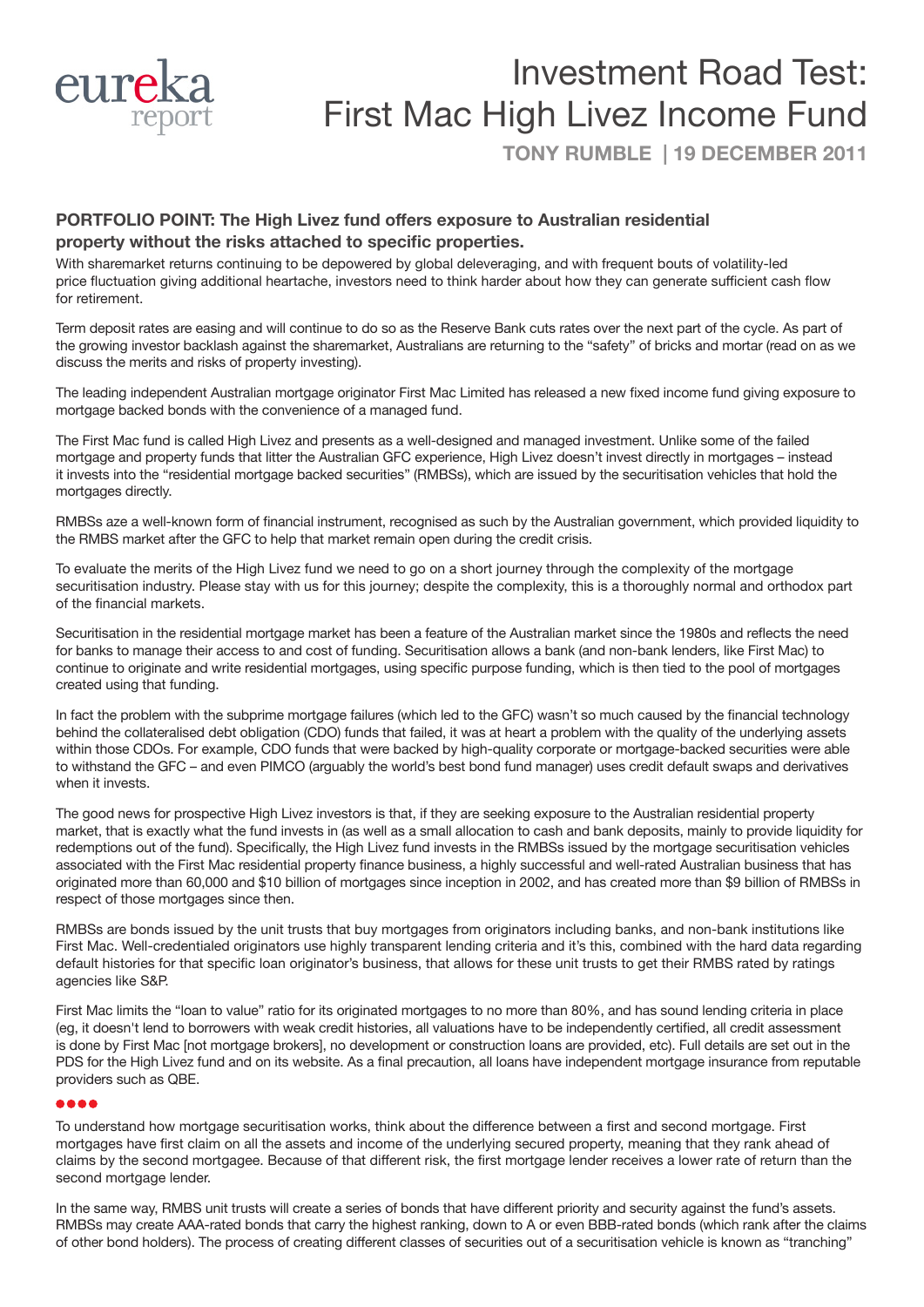

# Investment Road Test: First Mac High Livez Income Fund

**TONY RUMBLE | 19 DECEMBER 2011**

### **PORTFOLIO POINT: The High Livez fund offers exposure to Australian residential property without the risks attached to specific properties.**

With sharemarket returns continuing to be depowered by global deleveraging, and with frequent bouts of volatility-led price fluctuation giving additional heartache, investors need to think harder about how they can generate sufficient cash flow for retirement.

Term deposit rates are easing and will continue to do so as the Reserve Bank cuts rates over the next part of the cycle. As part of the growing investor backlash against the sharemarket, Australians are returning to the "safety" of bricks and mortar (read on as we discuss the merits and risks of property investing).

The leading independent Australian mortgage originator First Mac Limited has released a new fixed income fund giving exposure to mortgage backed bonds with the convenience of a managed fund.

The First Mac fund is called High Livez and presents as a well-designed and managed investment. Unlike some of the failed mortgage and property funds that litter the Australian GFC experience, High Livez doesn't invest directly in mortgages – instead it invests into the "residential mortgage backed securities" (RMBSs), which are issued by the securitisation vehicles that hold the mortgages directly.

RMBSs aze a well-known form of financial instrument, recognised as such by the Australian government, which provided liquidity to the RMBS market after the GFC to help that market remain open during the credit crisis.

To evaluate the merits of the High Livez fund we need to go on a short journey through the complexity of the mortgage securitisation industry. Please stay with us for this journey; despite the complexity, this is a thoroughly normal and orthodox part of the financial markets.

Securitisation in the residential mortgage market has been a feature of the Australian market since the 1980s and reflects the need for banks to manage their access to and cost of funding. Securitisation allows a bank (and non-bank lenders, like First Mac) to continue to originate and write residential mortgages, using specific purpose funding, which is then tied to the pool of mortgages created using that funding.

In fact the problem with the subprime mortgage failures (which led to the GFC) wasn't so much caused by the financial technology behind the collateralised debt obligation (CDO) funds that failed, it was at heart a problem with the quality of the underlying assets within those CDOs. For example, CDO funds that were backed by high-quality corporate or mortgage-backed securities were able to withstand the GFC – and even PIMCO (arguably the world's best bond fund manager) uses credit default swaps and derivatives when it invests.

The good news for prospective High Livez investors is that, if they are seeking exposure to the Australian residential property market, that is exactly what the fund invests in (as well as a small allocation to cash and bank deposits, mainly to provide liquidity for redemptions out of the fund). Specifically, the High Livez fund invests in the RMBSs issued by the mortgage securitisation vehicles associated with the First Mac residential property finance business, a highly successful and well-rated Australian business that has originated more than 60,000 and \$10 billion of mortgages since inception in 2002, and has created more than \$9 billion of RMBSs in respect of those mortgages since then.

RMBSs are bonds issued by the unit trusts that buy mortgages from originators including banks, and non-bank institutions like First Mac. Well-credentialed originators use highly transparent lending criteria and it's this, combined with the hard data regarding default histories for that specific loan originator's business, that allows for these unit trusts to get their RMBS rated by ratings agencies like S&P.

First Mac limits the "loan to value" ratio for its originated mortgages to no more than 80%, and has sound lending criteria in place (eg, it doesn't lend to borrowers with weak credit histories, all valuations have to be independently certified, all credit assessment is done by First Mac [not mortgage brokers], no development or construction loans are provided, etc). Full details are set out in the PDS for the High Livez fund and on its website. As a final precaution, all loans have independent mortgage insurance from reputable providers such as QBE.

To understand how mortgage securitisation works, think about the difference between a first and second mortgage. First mortgages have first claim on all the assets and income of the underlying secured property, meaning that they rank ahead of claims by the second mortgagee. Because of that different risk, the first mortgage lender receives a lower rate of return than the second mortgage lender.

In the same way, RMBS unit trusts will create a series of bonds that have different priority and security against the fund's assets. RMBSs may create AAA-rated bonds that carry the highest ranking, down to A or even BBB-rated bonds (which rank after the claims of other bond holders). The process of creating different classes of securities out of a securitisation vehicle is known as "tranching"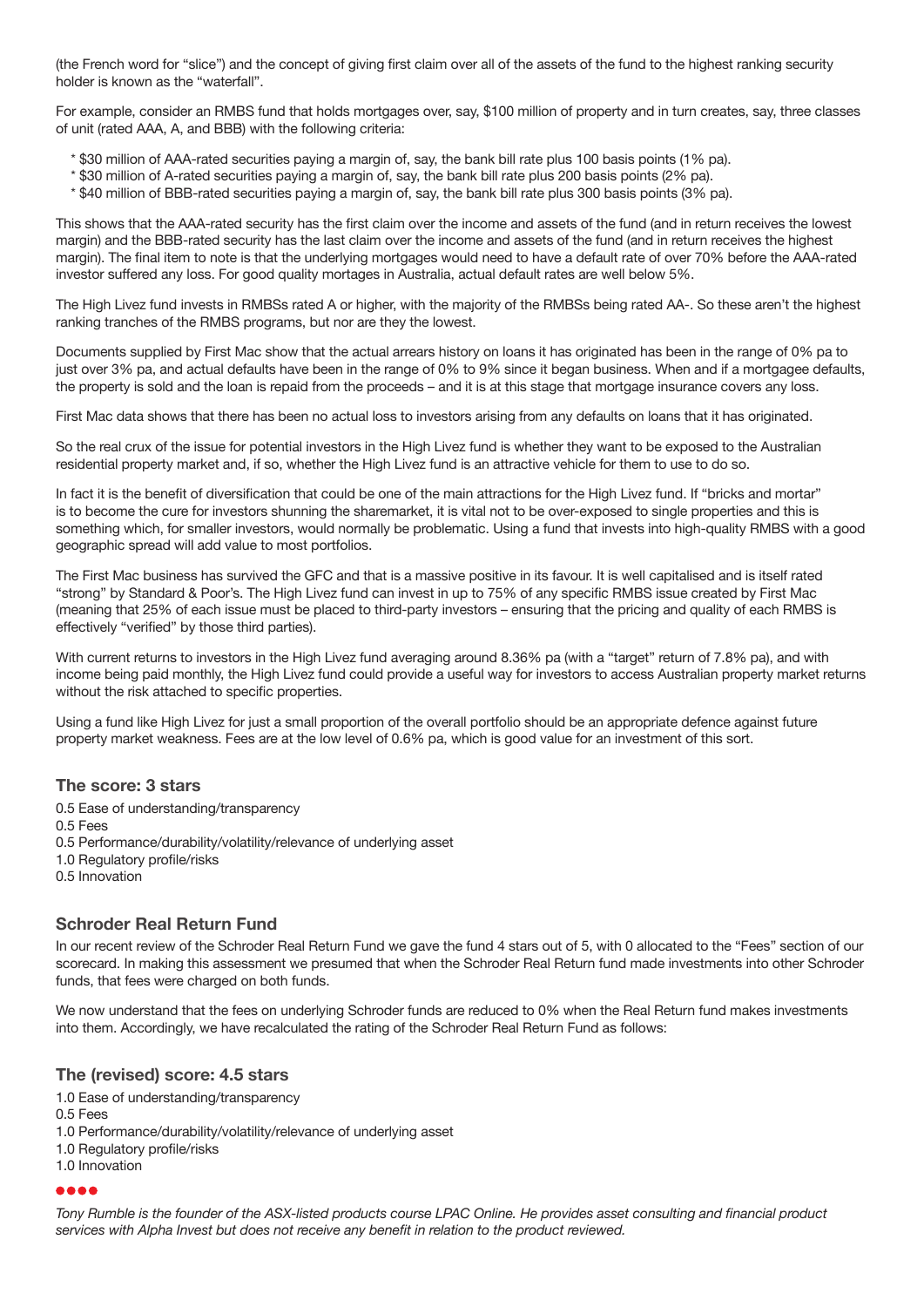(the French word for "slice") and the concept of giving first claim over all of the assets of the fund to the highest ranking security holder is known as the "waterfall".

For example, consider an RMBS fund that holds mortgages over, say, \$100 million of property and in turn creates, say, three classes of unit (rated AAA, A, and BBB) with the following criteria:

- \* \$30 million of AAA-rated securities paying a margin of, say, the bank bill rate plus 100 basis points (1% pa).
- \* \$30 million of A-rated securities paying a margin of, say, the bank bill rate plus 200 basis points (2% pa).
- \* \$40 million of BBB-rated securities paying a margin of, say, the bank bill rate plus 300 basis points (3% pa).

This shows that the AAA-rated security has the first claim over the income and assets of the fund (and in return receives the lowest margin) and the BBB-rated security has the last claim over the income and assets of the fund (and in return receives the highest margin). The final item to note is that the underlying mortgages would need to have a default rate of over 70% before the AAA-rated investor suffered any loss. For good quality mortages in Australia, actual default rates are well below 5%.

The High Livez fund invests in RMBSs rated A or higher, with the majority of the RMBSs being rated AA-. So these aren't the highest ranking tranches of the RMBS programs, but nor are they the lowest.

Documents supplied by First Mac show that the actual arrears history on loans it has originated has been in the range of 0% pa to just over 3% pa, and actual defaults have been in the range of 0% to 9% since it began business. When and if a mortgagee defaults, the property is sold and the loan is repaid from the proceeds – and it is at this stage that mortgage insurance covers any loss.

First Mac data shows that there has been no actual loss to investors arising from any defaults on loans that it has originated.

So the real crux of the issue for potential investors in the High Livez fund is whether they want to be exposed to the Australian residential property market and, if so, whether the High Livez fund is an attractive vehicle for them to use to do so.

In fact it is the benefit of diversification that could be one of the main attractions for the High Livez fund. If "bricks and mortar" is to become the cure for investors shunning the sharemarket, it is vital not to be over-exposed to single properties and this is something which, for smaller investors, would normally be problematic. Using a fund that invests into high-quality RMBS with a good geographic spread will add value to most portfolios.

The First Mac business has survived the GFC and that is a massive positive in its favour. It is well capitalised and is itself rated "strong" by Standard & Poor's. The High Livez fund can invest in up to 75% of any specific RMBS issue created by First Mac (meaning that 25% of each issue must be placed to third-party investors – ensuring that the pricing and quality of each RMBS is effectively "verified" by those third parties).

With current returns to investors in the High Livez fund averaging around 8.36% pa (with a "target" return of 7.8% pa), and with income being paid monthly, the High Livez fund could provide a useful way for investors to access Australian property market returns without the risk attached to specific properties.

Using a fund like High Livez for just a small proportion of the overall portfolio should be an appropriate defence against future property market weakness. Fees are at the low level of 0.6% pa, which is good value for an investment of this sort.

#### **The score: 3 stars**

0.5 Ease of understanding/transparency

- 0.5 Fees
- 0.5 Performance/durability/volatility/relevance of underlying asset
- 1.0 Regulatory profile/risks
- 0.5 Innovation

#### **Schroder Real Return Fund**

In our recent review of the Schroder Real Return Fund we gave the fund 4 stars out of 5, with 0 allocated to the "Fees" section of our scorecard. In making this assessment we presumed that when the Schroder Real Return fund made investments into other Schroder funds, that fees were charged on both funds.

We now understand that the fees on underlying Schroder funds are reduced to 0% when the Real Return fund makes investments into them. Accordingly, we have recalculated the rating of the Schroder Real Return Fund as follows:

#### **The (revised) score: 4.5 stars**

- 1.0 Ease of understanding/transparency
- 0.5 Fees
- 1.0 Performance/durability/volatility/relevance of underlying asset
- 1.0 Regulatory profile/risks

## 1.0 Innovation

#### 8881

*Tony Rumble is the founder of the ASX-listed products course LPAC Online. He provides asset consulting and financial product services with Alpha Invest but does not receive any benefit in relation to the product reviewed.*